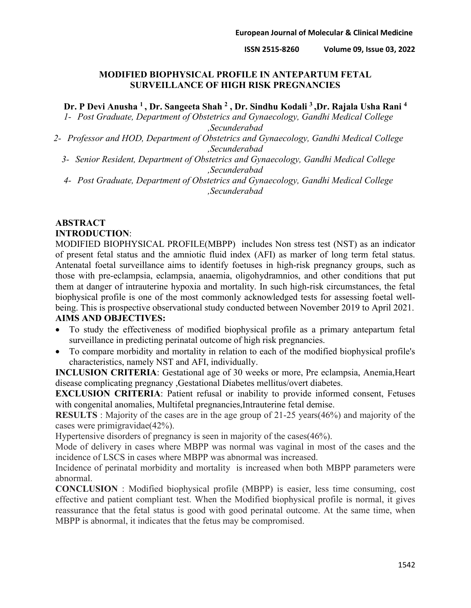#### **MODIFIED BIOPHYSICAL PROFILE IN ANTEPARTUM FETAL SURVEILLANCE OF HIGH RISK PREGNANCIES**

**Dr. P Devi Anusha 1 , Dr. Sangeeta Shah 2 , Dr. Sindhu Kodali 3 ,Dr. Rajala Usha Rani 4**

*1- Post Graduate, Department of Obstetrics and Gynaecology, Gandhi Medical College ,Secunderabad*

- *2- Professor and HOD, Department of Obstetrics and Gynaecology, Gandhi Medical College ,Secunderabad*
	- *3- Senior Resident, Department of Obstetrics and Gynaecology, Gandhi Medical College ,Secunderabad*
	- *4- Post Graduate, Department of Obstetrics and Gynaecology, Gandhi Medical College ,Secunderabad*

# **ABSTRACT INTRODUCTION**:

MODIFIED BIOPHYSICAL PROFILE(MBPP) includes Non stress test (NST) as an indicator of present fetal status and the amniotic fluid index (AFI) as marker of long term fetal status. Antenatal foetal surveillance aims to identify foetuses in high-risk pregnancy groups, such as those with pre-eclampsia, eclampsia, anaemia, oligohydramnios, and other conditions that put them at danger of intrauterine hypoxia and mortality. In such high-risk circumstances, the fetal biophysical profile is one of the most commonly acknowledged tests for assessing foetal wellbeing. This is prospective observational study conducted between November 2019 to April 2021. **AIMS AND OBJECTIVES:**

- ∑ To study the effectiveness of modified biophysical profile as a primary antepartum fetal surveillance in predicting perinatal outcome of high risk pregnancies.
- ∑ To compare morbidity and mortality in relation to each of the modified biophysical profile's characteristics, namely NST and AFI, individually.

**INCLUSION CRITERIA:** Gestational age of 30 weeks or more, Pre eclampsia, Anemia, Heart disease complicating pregnancy ,Gestational Diabetes mellitus/overt diabetes.

**EXCLUSION CRITERIA:** Patient refusal or inability to provide informed consent, Fetuses with congenital anomalies, Multifetal pregnancies,Intrauterine fetal demise.

**RESULTS** : Majority of the cases are in the age group of 21-25 years(46%) and majority of the cases were primigravidae(42%).

Hypertensive disorders of pregnancy is seen in majority of the cases(46%).

Mode of delivery in cases where MBPP was normal was vaginal in most of the cases and the incidence of LSCS in cases where MBPP was abnormal was increased.

Incidence of perinatal morbidity and mortality is increased when both MBPP parameters were abnormal.

**CONCLUSION** : Modified biophysical profile (MBPP) is easier, less time consuming, cost effective and patient compliant test. When the Modified biophysical profile is normal, it gives reassurance that the fetal status is good with good perinatal outcome. At the same time, when MBPP is abnormal, it indicates that the fetus may be compromised.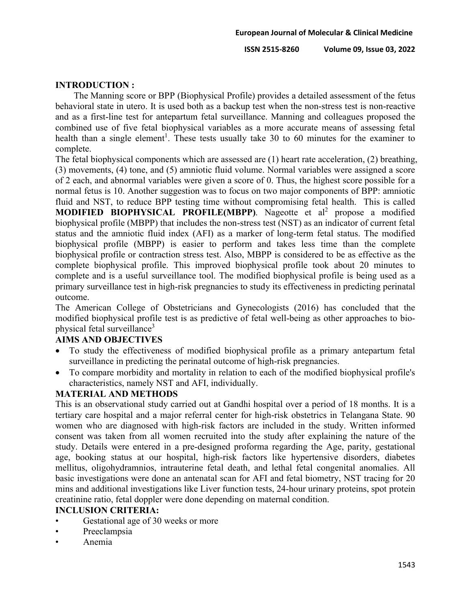# **INTRODUCTION :**

The Manning score or BPP (Biophysical Profile) provides a detailed assessment of the fetus behavioral state in utero. It is used both as a backup test when the non-stress test is non-reactive and as a first-line test for antepartum fetal surveillance. Manning and colleagues proposed the combined use of five fetal biophysical variables as a more accurate means of assessing fetal health than a single element<sup>1</sup>. These tests usually take 30 to 60 minutes for the examiner to complete.

The fetal biophysical components which are assessed are (1) heart rate acceleration, (2) breathing, (3) movements, (4) tone, and (5) amniotic fluid volume. Normal variables were assigned a score of 2 each, and abnormal variables were given a score of 0. Thus, the highest score possible for a normal fetus is 10. Another suggestion was to focus on two major components of BPP: amniotic fluid and NST, to reduce BPP testing time without compromising fetal health. This is called **MODIFIED BIOPHYSICAL PROFILE(MBPP).** Nageotte et al<sup>2</sup> propose a modified biophysical profile (MBPP) that includes the non-stress test (NST) as an indicator of current fetal status and the amniotic fluid index (AFI) as a marker of long-term fetal status. The modified biophysical profile (MBPP) is easier to perform and takes less time than the complete biophysical profile or contraction stress test. Also, MBPP is considered to be as effective as the complete biophysical profile. This improved biophysical profile took about 20 minutes to complete and is a useful surveillance tool. The modified biophysical profile is being used as a primary surveillance test in high-risk pregnancies to study its effectiveness in predicting perinatal outcome.

The American College of Obstetricians and Gynecologists (2016) has concluded that the modified biophysical profile test is as predictive of fetal well-being as other approaches to biophysical fetal surveillance<sup>3</sup>

# **AIMS AND OBJECTIVES**

- ∑ To study the effectiveness of modified biophysical profile as a primary antepartum fetal surveillance in predicting the perinatal outcome of high-risk pregnancies.
- ∑ To compare morbidity and mortality in relation to each of the modified biophysical profile's characteristics, namely NST and AFI, individually.

# **MATERIAL AND METHODS**

This is an observational study carried out at Gandhi hospital over a period of 18 months. It is a tertiary care hospital and a major referral center for high-risk obstetrics in Telangana State. 90 women who are diagnosed with high-risk factors are included in the study. Written informed consent was taken from all women recruited into the study after explaining the nature of the study. Details were entered in a pre-designed proforma regarding the Age, parity, gestational age, booking status at our hospital, high-risk factors like hypertensive disorders, diabetes mellitus, oligohydramnios, intrauterine fetal death, and lethal fetal congenital anomalies. All basic investigations were done an antenatal scan for AFI and fetal biometry, NST tracing for 20 mins and additional investigations like Liver function tests, 24-hour urinary proteins, spot protein creatinine ratio, fetal doppler were done depending on maternal condition.

# **INCLUSION CRITERIA:**

- Gestational age of 30 weeks or more
- Preeclampsia
- Anemia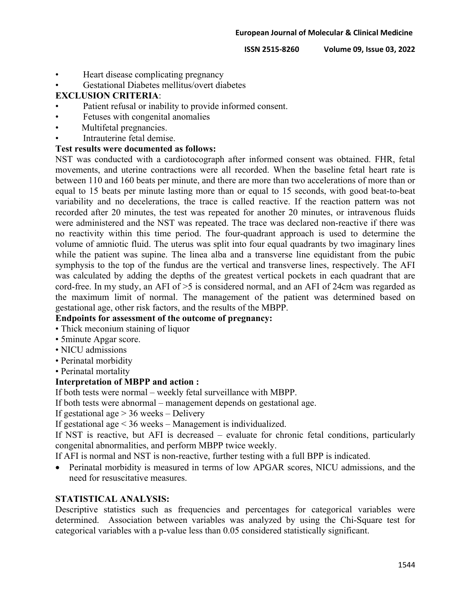- Heart disease complicating pregnancy
- Gestational Diabetes mellitus/overt diabetes

#### **EXCLUSION CRITERIA**:

- Patient refusal or inability to provide informed consent.
- Fetuses with congenital anomalies
- Multifetal pregnancies.
- Intrauterine fetal demise.

## **Test results were documented as follows:**

NST was conducted with a cardiotocograph after informed consent was obtained. FHR, fetal movements, and uterine contractions were all recorded. When the baseline fetal heart rate is between 110 and 160 beats per minute, and there are more than two accelerations of more than or equal to 15 beats per minute lasting more than or equal to 15 seconds, with good beat-to-beat variability and no decelerations, the trace is called reactive. If the reaction pattern was not recorded after 20 minutes, the test was repeated for another 20 minutes, or intravenous fluids were administered and the NST was repeated. The trace was declared non-reactive if there was no reactivity within this time period. The four-quadrant approach is used to determine the volume of amniotic fluid. The uterus was split into four equal quadrants by two imaginary lines while the patient was supine. The linea alba and a transverse line equidistant from the pubic symphysis to the top of the fundus are the vertical and transverse lines, respectively. The AFI was calculated by adding the depths of the greatest vertical pockets in each quadrant that are cord-free. In my study, an AFI of >5 is considered normal, and an AFI of 24cm was regarded as the maximum limit of normal. The management of the patient was determined based on gestational age, other risk factors, and the results of the MBPP.

# **Endpoints for assessment of the outcome of pregnancy:**

- Thick meconium staining of liquor
- 5minute Apgar score.
- NICU admissions
- Perinatal morbidity
- Perinatal mortality

## **Interpretation of MBPP and action :**

If both tests were normal – weekly fetal surveillance with MBPP.

If both tests were abnormal – management depends on gestational age.

If gestational age > 36 weeks – Delivery

If gestational age < 36 weeks – Management is individualized.

If NST is reactive, but AFI is decreased – evaluate for chronic fetal conditions, particularly congenital abnormalities, and perform MBPP twice weekly.

If AFI is normal and NST is non-reactive, further testing with a full BPP is indicated.

• Perinatal morbidity is measured in terms of low APGAR scores, NICU admissions, and the need for resuscitative measures.

## **STATISTICAL ANALYSIS:**

Descriptive statistics such as frequencies and percentages for categorical variables were determined. Association between variables was analyzed by using the Chi-Square test for categorical variables with a p-value less than 0.05 considered statistically significant.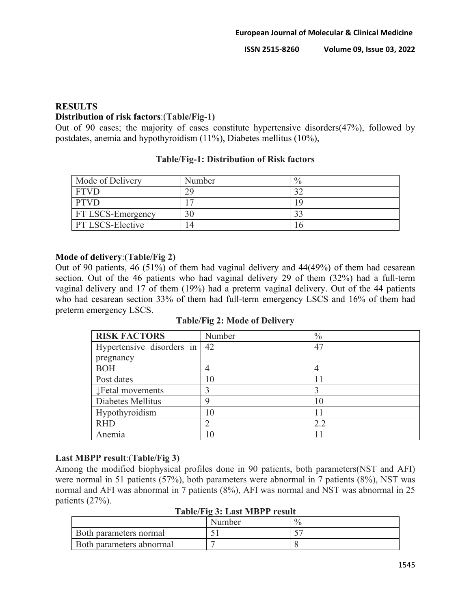# **RESULTS Distribution of risk factors**:(**Table/Fig-1)**

Out of 90 cases; the majority of cases constitute hypertensive disorders(47%), followed by postdates, anemia and hypothyroidism (11%), Diabetes mellitus (10%),

| Mode of Delivery         | Number | $\frac{0}{0}$ |
|--------------------------|--------|---------------|
| <b>FTVD</b>              | າດ     |               |
| <b>PTVD</b>              |        |               |
| <b>FT LSCS-Emergency</b> | 30     |               |
| <b>PT LSCS-Elective</b>  |        |               |

#### **Table/Fig-1: Distribution of Risk factors**

## **Mode of delivery**:(**Table/Fig 2)**

Out of 90 patients, 46 (51%) of them had vaginal delivery and 44(49%) of them had cesarean section. Out of the 46 patients who had vaginal delivery 29 of them (32%) had a full-term vaginal delivery and 17 of them (19%) had a preterm vaginal delivery. Out of the 44 patients who had cesarean section 33% of them had full-term emergency LSCS and 16% of them had preterm emergency LSCS.

**Table/Fig 2: Mode of Delivery**

| <b>RISK FACTORS</b>             | Number | $\frac{0}{0}$ |
|---------------------------------|--------|---------------|
| Hypertensive disorders in $ 42$ |        | 47            |
| pregnancy                       |        |               |
| <b>BOH</b>                      |        |               |
| Post dates                      | 10     |               |
| <b>JFetal</b> movements         | 3      |               |
| Diabetes Mellitus               | Q      | 10            |
| Hypothyroidism                  | 10     | 11            |
| <b>RHD</b>                      |        | 2.2           |
| Anemia                          |        | 11            |

# **Last MBPP result**:(**Table/Fig 3)**

Among the modified biophysical profiles done in 90 patients, both parameters(NST and AFI) were normal in 51 patients (57%), both parameters were abnormal in 7 patients (8%), NST was normal and AFI was abnormal in 7 patients (8%), AFI was normal and NST was abnormal in 25 patients (27%).

**Table/Fig 3: Last MBPP result**

|                          | Number | $\frac{0}{0}$ |
|--------------------------|--------|---------------|
| Both parameters normal   |        |               |
| Both parameters abnormal |        |               |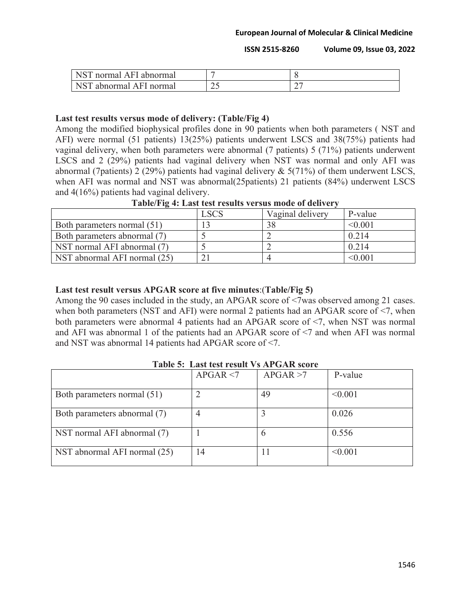#### **European Journal of Molecular & Clinical Medicine**

**ISSN 2515-8260 Volume 09, Issue 03, 2022**

| NST normal AFI abnormal   |  |
|---------------------------|--|
| l NST abnormal AFI normal |  |

## **Last test results versus mode of delivery: (Table/Fig 4)**

Among the modified biophysical profiles done in 90 patients when both parameters ( NST and AFI) were normal (51 patients) 13(25%) patients underwent LSCS and 38(75%) patients had vaginal delivery, when both parameters were abnormal (7 patients) 5 (71%) patients underwent LSCS and 2 (29%) patients had vaginal delivery when NST was normal and only AFI was abnormal (7patients) 2 (29%) patients had vaginal delivery & 5(71%) of them underwent LSCS, when AFI was normal and NST was abnormal(25patients) 21 patients (84%) underwent LSCS and 4(16%) patients had vaginal delivery.

|                              | <b>SCS</b> | Vaginal delivery | P-value      |
|------------------------------|------------|------------------|--------------|
| Both parameters normal (51)  |            |                  | < 0.001      |
| Both parameters abnormal (7) |            |                  | 0.214        |
| NST normal AFI abnormal (7)  |            |                  | 0.214        |
| NST abnormal AFI normal (25) |            |                  | $\leq 0.001$ |

# **Table/Fig 4: Last test results versus mode of delivery**

#### **Last test result versus APGAR score at five minutes**:(**Table/Fig 5)**

Among the 90 cases included in the study, an APGAR score of <7was observed among 21 cases. when both parameters (NST and AFI) were normal 2 patients had an APGAR score of  $\leq 7$ , when both parameters were abnormal 4 patients had an APGAR score of <7, when NST was normal and AFI was abnormal 1 of the patients had an APGAR score of <7 and when AFI was normal and NST was abnormal 14 patients had APGAR score of <7.

|                              | APGAR < 7 | APGAR > 7 | P-value |
|------------------------------|-----------|-----------|---------|
| Both parameters normal (51)  |           | 49        | < 0.001 |
| Both parameters abnormal (7) |           |           | 0.026   |
| NST normal AFI abnormal (7)  |           | O         | 0.556   |
| NST abnormal AFI normal (25) | 14        | 11        | < 0.001 |

#### **Table 5: Last test result Vs APGAR score**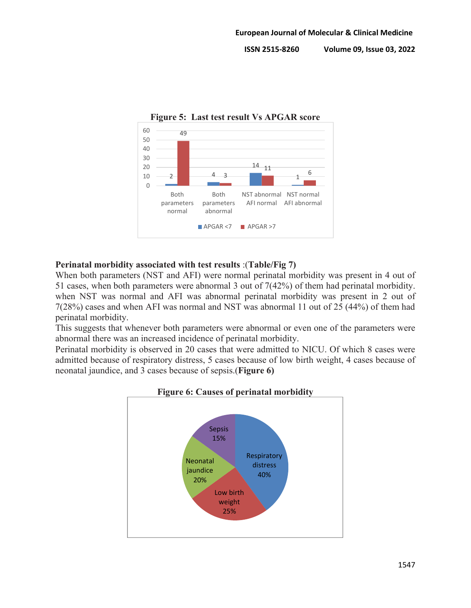

## **Perinatal morbidity associated with test results** :(**Table/Fig 7)**

When both parameters (NST and AFI) were normal perinatal morbidity was present in 4 out of 51 cases, when both parameters were abnormal 3 out of 7(42%) of them had perinatal morbidity. when NST was normal and AFI was abnormal perinatal morbidity was present in 2 out of 7(28%) cases and when AFI was normal and NST was abnormal 11 out of 25 (44%) of them had perinatal morbidity.

This suggests that whenever both parameters were abnormal or even one of the parameters were abnormal there was an increased incidence of perinatal morbidity.

Perinatal morbidity is observed in 20 cases that were admitted to NICU. Of which 8 cases were admitted because of respiratory distress, 5 cases because of low birth weight, 4 cases because of neonatal jaundice, and 3 cases because of sepsis.(**Figure 6)**



**Figure 6: Causes of perinatal morbidity**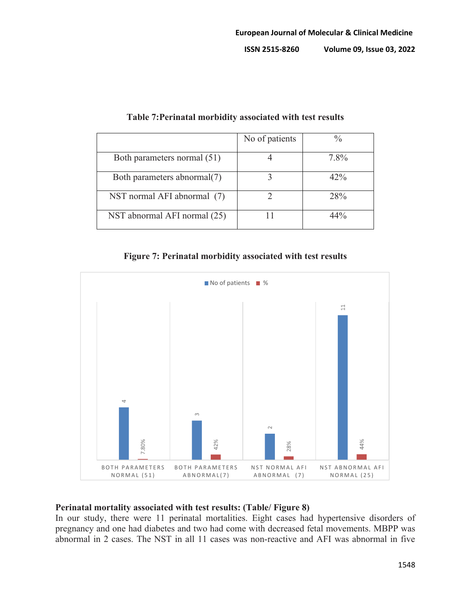|                              | No of patients | $\frac{0}{0}$ |
|------------------------------|----------------|---------------|
| Both parameters normal (51)  |                | 7.8%          |
| Both parameters abnormal(7)  |                | 42%           |
| NST normal AFI abnormal (7)  |                | 28%           |
| NST abnormal AFI normal (25) |                | $44\%$        |

# **Table 7:Perinatal morbidity associated with test results**

**Figure 7: Perinatal morbidity associated with test results**



# **Perinatal mortality associated with test results: (Table/ Figure 8)**

In our study, there were 11 perinatal mortalities. Eight cases had hypertensive disorders of pregnancy and one had diabetes and two had come with decreased fetal movements. MBPP was abnormal in 2 cases. The NST in all 11 cases was non-reactive and AFI was abnormal in five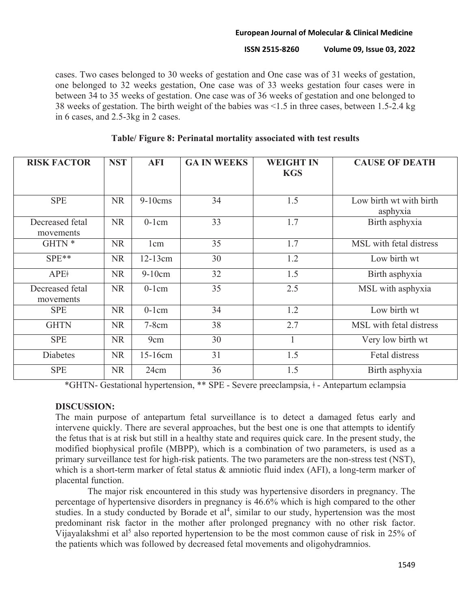#### **European Journal of Molecular & Clinical Medicine**

#### **ISSN 2515-8260 Volume 09, Issue 03, 2022**

cases. Two cases belonged to 30 weeks of gestation and One case was of 31 weeks of gestation, one belonged to 32 weeks gestation, One case was of 33 weeks gestation four cases were in between 34 to 35 weeks of gestation. One case was of 36 weeks of gestation and one belonged to 38 weeks of gestation. The birth weight of the babies was <1.5 in three cases, between 1.5-2.4 kg in 6 cases, and 2.5-3kg in 2 cases.

| <b>RISK FACTOR</b>           | <b>NST</b> | <b>AFI</b>           | <b>GA IN WEEKS</b> | <b>WEIGHT IN</b><br><b>KGS</b> | <b>CAUSE OF DEATH</b>               |
|------------------------------|------------|----------------------|--------------------|--------------------------------|-------------------------------------|
| <b>SPE</b>                   | <b>NR</b>  | $9-10 \, \text{cms}$ | 34                 | 1.5                            | Low birth wt with birth<br>asphyxia |
| Decreased fetal<br>movements | <b>NR</b>  | $0-1$ cm             | 33                 | 1.7                            | Birth asphyxia                      |
| GHTN <sup>*</sup>            | <b>NR</b>  | 1 <sub>cm</sub>      | 35                 | 1.7                            | MSL with fetal distress             |
| $SPE**$                      | <b>NR</b>  | 12-13cm              | 30                 | 1.2                            | Low birth wt                        |
| APE <sup>+</sup>             | <b>NR</b>  | $9-10cm$             | 32                 | 1.5                            | Birth asphyxia                      |
| Decreased fetal<br>movements | <b>NR</b>  | $0-1$ cm             | 35                 | 2.5                            | MSL with asphyxia                   |
| <b>SPE</b>                   | <b>NR</b>  | $0-1$ cm             | 34                 | 1.2                            | Low birth wt                        |
| <b>GHTN</b>                  | <b>NR</b>  | $7-8cm$              | 38                 | 2.7                            | MSL with fetal distress             |
| <b>SPE</b>                   | <b>NR</b>  | 9cm                  | 30                 |                                | Very low birth wt                   |
| <b>Diabetes</b>              | <b>NR</b>  | $15-16cm$            | 31                 | 1.5                            | <b>Fetal distress</b>               |
| <b>SPE</b>                   | <b>NR</b>  | 24cm                 | 36                 | 1.5                            | Birth asphyxia                      |

# **Table/ Figure 8: Perinatal mortality associated with test results**

\*GHTN- Gestational hypertension, \*\* SPE - Severe preeclampsia, ǂ - Antepartum eclampsia

## **DISCUSSION:**

The main purpose of antepartum fetal surveillance is to detect a damaged fetus early and intervene quickly. There are several approaches, but the best one is one that attempts to identify the fetus that is at risk but still in a healthy state and requires quick care. In the present study, the modified biophysical profile (MBPP), which is a combination of two parameters, is used as a primary surveillance test for high-risk patients. The two parameters are the non-stress test (NST), which is a short-term marker of fetal status & amniotic fluid index (AFI), a long-term marker of placental function.

The major risk encountered in this study was hypertensive disorders in pregnancy. The percentage of hypertensive disorders in pregnancy is 46.6% which is high compared to the other studies. In a study conducted by Borade et  $al<sup>4</sup>$ , similar to our study, hypertension was the most predominant risk factor in the mother after prolonged pregnancy with no other risk factor. Vijayalakshmi et al<sup>5</sup> also reported hypertension to be the most common cause of risk in 25% of the patients which was followed by decreased fetal movements and oligohydramnios.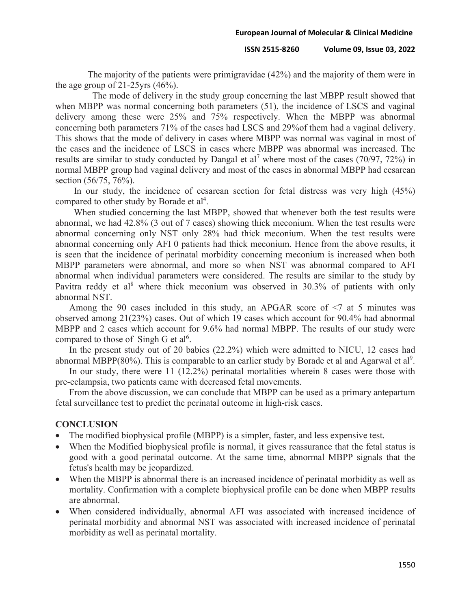The majority of the patients were primigravidae (42%) and the majority of them were in the age group of 21-25yrs  $(46\%)$ .

The mode of delivery in the study group concerning the last MBPP result showed that when MBPP was normal concerning both parameters (51), the incidence of LSCS and vaginal delivery among these were 25% and 75% respectively. When the MBPP was abnormal concerning both parameters 71% of the cases had LSCS and 29%of them had a vaginal delivery. This shows that the mode of delivery in cases where MBPP was normal was vaginal in most of the cases and the incidence of LSCS in cases where MBPP was abnormal was increased. The results are similar to study conducted by Dangal et al<sup>7</sup> where most of the cases (70/97, 72%) in normal MBPP group had vaginal delivery and most of the cases in abnormal MBPP had cesarean section (56/75, 76%).

In our study, the incidence of cesarean section for fetal distress was very high (45%) compared to other study by Borade et  $al<sup>4</sup>$ .

When studied concerning the last MBPP, showed that whenever both the test results were abnormal, we had 42.8% (3 out of 7 cases) showing thick meconium. When the test results were abnormal concerning only NST only 28% had thick meconium. When the test results were abnormal concerning only AFI 0 patients had thick meconium. Hence from the above results, it is seen that the incidence of perinatal morbidity concerning meconium is increased when both MBPP parameters were abnormal, and more so when NST was abnormal compared to AFI abnormal when individual parameters were considered. The results are similar to the study by Pavitra reddy et al<sup>8</sup> where thick meconium was observed in 30.3% of patients with only abnormal NST.

Among the 90 cases included in this study, an APGAR score of <7 at 5 minutes was observed among 21(23%) cases. Out of which 19 cases which account for 90.4% had abnormal MBPP and 2 cases which account for 9.6% had normal MBPP. The results of our study were compared to those of Singh G et al<sup>6</sup>.

In the present study out of 20 babies (22.2%) which were admitted to NICU, 12 cases had abnormal MBPP(80%). This is comparable to an earlier study by Borade et al and Agarwal et al<sup>9</sup>.

In our study, there were 11 (12.2%) perinatal mortalities wherein 8 cases were those with pre-eclampsia, two patients came with decreased fetal movements.

From the above discussion, we can conclude that MBPP can be used as a primary antepartum fetal surveillance test to predict the perinatal outcome in high-risk cases.

#### **CONCLUSION**

- The modified biophysical profile (MBPP) is a simpler, faster, and less expensive test.
- When the Modified biophysical profile is normal, it gives reassurance that the fetal status is good with a good perinatal outcome. At the same time, abnormal MBPP signals that the fetus's health may be jeopardized.
- When the MBPP is abnormal there is an increased incidence of perinatal morbidity as well as mortality. Confirmation with a complete biophysical profile can be done when MBPP results are abnormal.
- When considered individually, abnormal AFI was associated with increased incidence of perinatal morbidity and abnormal NST was associated with increased incidence of perinatal morbidity as well as perinatal mortality.